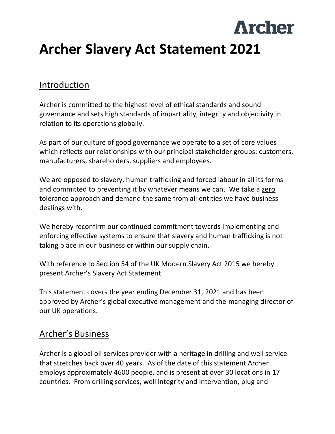# **Archer Archer Slavery Act Statement 2021**

## Introduction

Archer is committed to the highest level of ethical standards and sound governance and sets high standards of impartiality, integrity and objectivity in relation to its operations globally.

As part of our culture of good governance we operate to a set of core values which reflects our relationships with our principal stakeholder groups: customers, manufacturers, shareholders, suppliers and employees.

We are opposed to slavery, human trafficking and forced labour in all its forms and committed to preventing it by whatever means we can. We take a zero tolerance approach and demand the same from all entities we have business dealings with.

We hereby reconfirm our continued commitment towards implementing and enforcing effective systems to ensure that slavery and human trafficking is not taking place in our business or within our supply chain.

With reference to Section 54 of the UK Modern Slavery Act 2015 we hereby present Archer's Slavery Act Statement.

This statement covers the year ending December 31, 2021 and has been approved by Archer's global executive management and the managing director of our UK operations.

## Archer's Business

Archer is a global oil services provider with a heritage in drilling and well service that stretches back over 40 years. As of the date of this statement Archer employs approximately 4600 people, and is present at over 30 locations in 17 countries. From drilling services, well integrity and intervention, plug and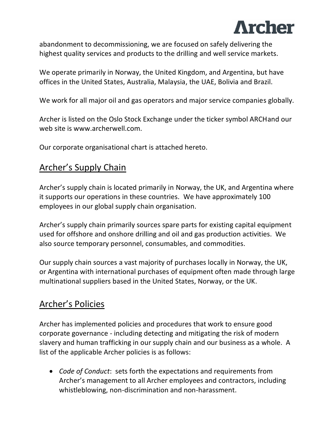

abandonment to decommissioning, we are focused on safely delivering the highest quality services and products to the drilling and well service markets.

We operate primarily in Norway, the United Kingdom, and Argentina, but have offices in the United States, Australia, Malaysia, the UAE, Bolivia and Brazil.

We work for all major oil and gas operators and major service companies globally.

Archer is listed on the Oslo Stock Exchange under the ticker symbol ARCHand our web site is www.archerwell.com.

Our corporate organisational chart is attached hereto.

# Archer's Supply Chain

Archer's supply chain is located primarily in Norway, the UK, and Argentina where it supports our operations in these countries. We have approximately 100 employees in our global supply chain organisation.

Archer's supply chain primarily sources spare parts for existing capital equipment used for offshore and onshore drilling and oil and gas production activities. We also source temporary personnel, consumables, and commodities.

Our supply chain sources a vast majority of purchases locally in Norway, the UK, or Argentina with international purchases of equipment often made through large multinational suppliers based in the United States, Norway, or the UK.

## Archer's Policies

Archer has implemented policies and procedures that work to ensure good corporate governance - including detecting and mitigating the risk of modern slavery and human trafficking in our supply chain and our business as a whole. A list of the applicable Archer policies is as follows:

• *Code of Conduct*: sets forth the expectations and requirements from Archer's management to all Archer employees and contractors, including whistleblowing, non-discrimination and non-harassment.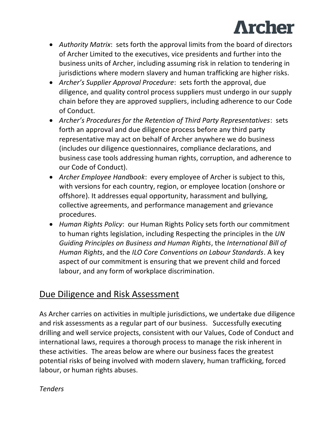

- *Authority Matrix*: sets forth the approval limits from the board of directors of Archer Limited to the executives, vice presidents and further into the business units of Archer, including assuming risk in relation to tendering in jurisdictions where modern slavery and human trafficking are higher risks.
- *Archer's Supplier Approval Procedure*: sets forth the approval, due diligence, and quality control process suppliers must undergo in our supply chain before they are approved suppliers, including adherence to our Code of Conduct.
- *Archer's Procedures for the Retention of Third Party Representatives*: sets forth an approval and due diligence process before any third party representative may act on behalf of Archer anywhere we do business (includes our diligence questionnaires, compliance declarations, and business case tools addressing human rights, corruption, and adherence to our Code of Conduct).
- *Archer Employee Handbook*: every employee of Archer is subject to this, with versions for each country, region, or employee location (onshore or offshore). It addresses equal opportunity, harassment and bullying, collective agreements, and performance management and grievance procedures.
- *Human Rights Policy*: our Human Rights Policy sets forth our commitment to human rights legislation, including Respecting the principles in the *UN Guiding Principles on Business and Human Rights*, the *International Bill of Human Rights*, and the *ILO Core Conventions on Labour Standards*. A key aspect of our commitment is ensuring that we prevent child and forced labour, and any form of workplace discrimination.

# Due Diligence and Risk Assessment

As Archer carries on activities in multiple jurisdictions, we undertake due diligence and risk assessments as a regular part of our business. Successfully executing drilling and well service projects, consistent with our Values, Code of Conduct and international laws, requires a thorough process to manage the risk inherent in these activities. The areas below are where our business faces the greatest potential risks of being involved with modern slavery, human trafficking, forced labour, or human rights abuses.

*Tenders*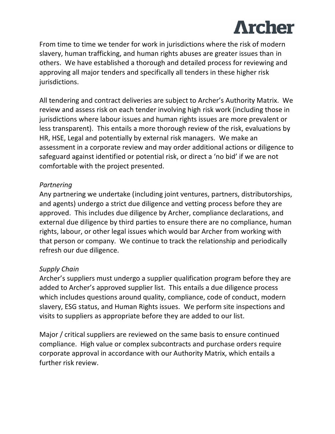

From time to time we tender for work in jurisdictions where the risk of modern slavery, human trafficking, and human rights abuses are greater issues than in others. We have established a thorough and detailed process for reviewing and approving all major tenders and specifically all tenders in these higher risk jurisdictions.

All tendering and contract deliveries are subject to Archer's Authority Matrix. We review and assess risk on each tender involving high risk work (including those in jurisdictions where labour issues and human rights issues are more prevalent or less transparent). This entails a more thorough review of the risk, evaluations by HR, HSE, Legal and potentially by external risk managers. We make an assessment in a corporate review and may order additional actions or diligence to safeguard against identified or potential risk, or direct a 'no bid' if we are not comfortable with the project presented.

#### *Partnering*

Any partnering we undertake (including joint ventures, partners, distributorships, and agents) undergo a strict due diligence and vetting process before they are approved. This includes due diligence by Archer, compliance declarations, and external due diligence by third parties to ensure there are no compliance, human rights, labour, or other legal issues which would bar Archer from working with that person or company. We continue to track the relationship and periodically refresh our due diligence.

#### *Supply Chain*

Archer's suppliers must undergo a supplier qualification program before they are added to Archer's approved supplier list. This entails a due diligence process which includes questions around quality, compliance, code of conduct, modern slavery, ESG status, and Human Rights issues. We perform site inspections and visits to suppliers as appropriate before they are added to our list.

Major / critical suppliers are reviewed on the same basis to ensure continued compliance. High value or complex subcontracts and purchase orders require corporate approval in accordance with our Authority Matrix, which entails a further risk review.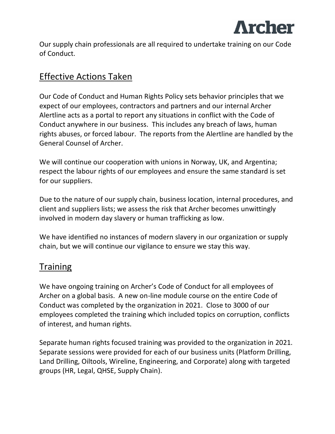

Our supply chain professionals are all required to undertake training on our Code of Conduct.

## Effective Actions Taken

Our Code of Conduct and Human Rights Policy sets behavior principles that we expect of our employees, contractors and partners and our internal Archer Alertline acts as a portal to report any situations in conflict with the Code of Conduct anywhere in our business. This includes any breach of laws, human rights abuses, or forced labour. The reports from the Alertline are handled by the General Counsel of Archer.

We will continue our cooperation with unions in Norway, UK, and Argentina; respect the labour rights of our employees and ensure the same standard is set for our suppliers.

Due to the nature of our supply chain, business location, internal procedures, and client and suppliers lists; we assess the risk that Archer becomes unwittingly involved in modern day slavery or human trafficking as low.

We have identified no instances of modern slavery in our organization or supply chain, but we will continue our vigilance to ensure we stay this way.

## **Training**

We have ongoing training on Archer's Code of Conduct for all employees of Archer on a global basis. A new on-line module course on the entire Code of Conduct was completed by the organization in 2021. Close to 3000 of our employees completed the training which included topics on corruption, conflicts of interest, and human rights.

Separate human rights focused training was provided to the organization in 2021. Separate sessions were provided for each of our business units (Platform Drilling, Land Drilling, Oiltools, Wireline, Engineering, and Corporate) along with targeted groups (HR, Legal, QHSE, Supply Chain).